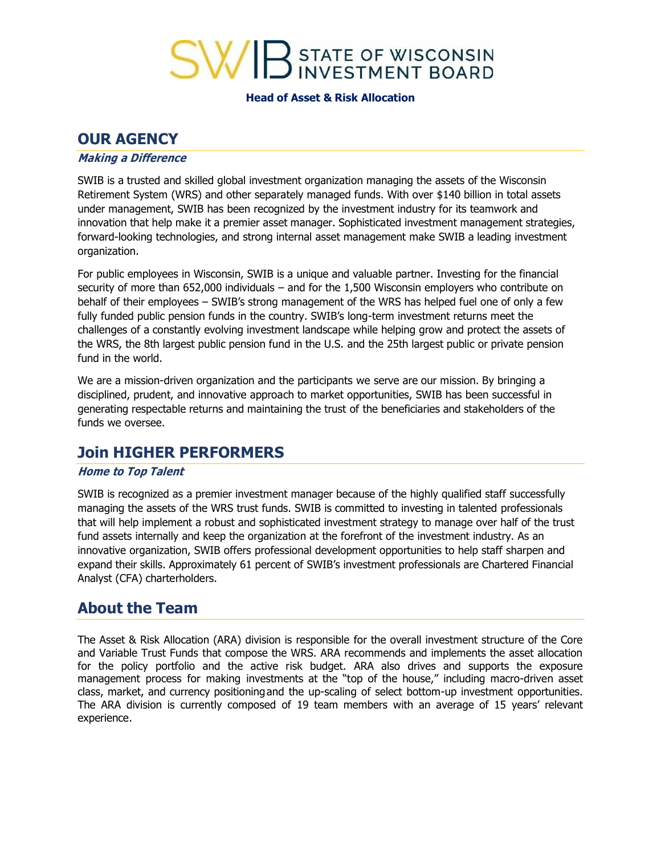

**Head of Asset & Risk Allocation**

## **OUR AGENCY**

### **Making <sup>a</sup> Difference**

SWIB is a trusted and skilled global investment organization managing the assets of the Wisconsin Retirement System (WRS) and other separately managed funds. With over \$140 billion in total assets under management, SWIB has been recognized by the investment industry for its teamwork and innovation that help make it a premier asset manager. Sophisticated investment management strategies, forward-looking technologies, and strong internal asset management make SWIB a leading investment organization.

For public employees in Wisconsin, SWIB is a unique and valuable partner. Investing for the financial security of more than 652,000 individuals – and for the 1,500 Wisconsin employers who contribute on behalf of their employees – SWIB's strong management of the WRS has helped fuel one of only a few fully funded public pension funds in the country. SWIB's long-term investment returns meet the challenges of a constantly evolving investment landscape while helping grow and protect the assets of the WRS, the 8th largest public pension fund in the U.S. and the 25th largest public or private pension fund in the world.

We are a mission-driven organization and the participants we serve are our mission. By bringing a disciplined, prudent, and innovative approach to market opportunities, SWIB has been successful in generating respectable returns and maintaining the trust of the beneficiaries and stakeholders of the funds we oversee.

## **Join HIGHER PERFORMERS**

### **Home to Top Talent**

SWIB is recognized as a premier investment manager because of the highly qualified staff successfully managing the assets of the WRS trust funds. SWIB is committed to investing in talented professionals that will help implement a robust and sophisticated investment strategy to manage over half of the trust fund assets internally and keep the organization at the forefront of the investment industry. As an innovative organization, SWIB offers professional development opportunities to help staff sharpen and expand their skills. Approximately 61 percent of SWIB's investment professionals are Chartered Financial Analyst (CFA) charterholders.

## **About the Team**

The Asset & Risk Allocation (ARA) division is responsible for the overall investment structure of the Core and Variable Trust Funds that compose the WRS. ARA recommends and implements the asset allocation for the policy portfolio and the active risk budget. ARA also drives and supports the exposure management process for making investments at the "top of the house," including macro-driven asset class, market, and currency positioningand the up-scaling of select bottom-up investment opportunities. The ARA division is currently composed of 19 team members with an average of 15 years' relevant experience.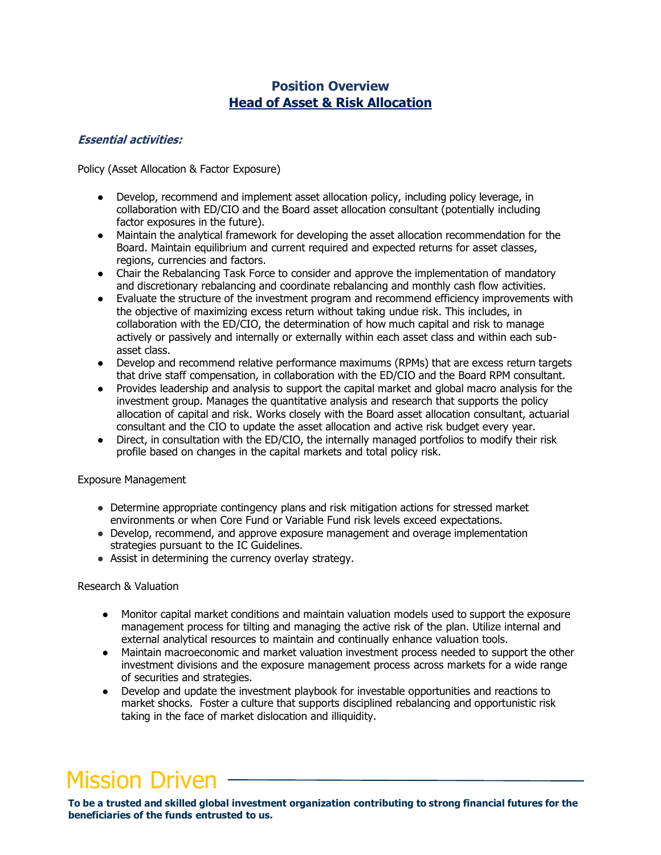### **Position Overview Head of Asset & Risk Allocation**

### **Essential activities:**

Policy (Asset Allocation & Factor Exposure)

- Develop, recommend and implement asset allocation policy, including policy leverage, in collaboration with ED/CIO and the Board asset allocation consultant (potentially including factor exposures in the future).
- Maintain the analytical framework for developing the asset allocation recommendation for the Board. Maintain equilibrium and current required and expected returns for asset classes, regions, currencies and factors.
- Chair the Rebalancing Task Force to consider and approve the implementation of mandatory and discretionary rebalancing and coordinate rebalancing and monthly cash flow activities.
- Evaluate the structure of the investment program and recommend efficiency improvements with the objective of maximizing excess return without taking undue risk. This includes, in collaboration with the ED/CIO, the determination of how much capital and risk to manage actively or passively and internally or externally within each asset class and within each subasset class.
- Develop and recommend relative performance maximums (RPMs) that are excess return targets that drive staff compensation, in collaboration with the ED/CIO and the Board RPM consultant.
- Provides leadership and analysis to support the capital market and global macro analysis for the investment group. Manages the quantitative analysis and research that supports the policy allocation of capital and risk. Works closely with the Board asset allocation consultant, actuarial consultant and the CIO to update the asset allocation and active risk budget every year.
- Direct, in consultation with the ED/CIO, the internally managed portfolios to modify their risk profile based on changes in the capital markets and total policy risk.

### Exposure Management

- Determine appropriate contingency plans and risk mitigation actions for stressed market environments or when Core Fund or Variable Fund risk levels exceed expectations.
- Develop, recommend, and approve exposure management and overage implementation strategies pursuant to the IC Guidelines.
- Assist in determining the currency overlay strategy.

#### Research & Valuation

- Monitor capital market conditions and maintain valuation models used to support the exposure management process for tilting and managing the active risk of the plan. Utilize internal and external analytical resources to maintain and continually enhance valuation tools.
- Maintain macroeconomic and market valuation investment process needed to support the other investment divisions and the exposure management process across markets for a wide range of securities and strategies.
- Develop and update the investment playbook for investable opportunities and reactions to market shocks. Foster a culture that supports disciplined rebalancing and opportunistic risk taking in the face of market dislocation and illiquidity.

# Mission Driven

**To be a trusted and skilled global investment organization contributing to strong financial futures for the beneficiaries of the funds entrusted to us.**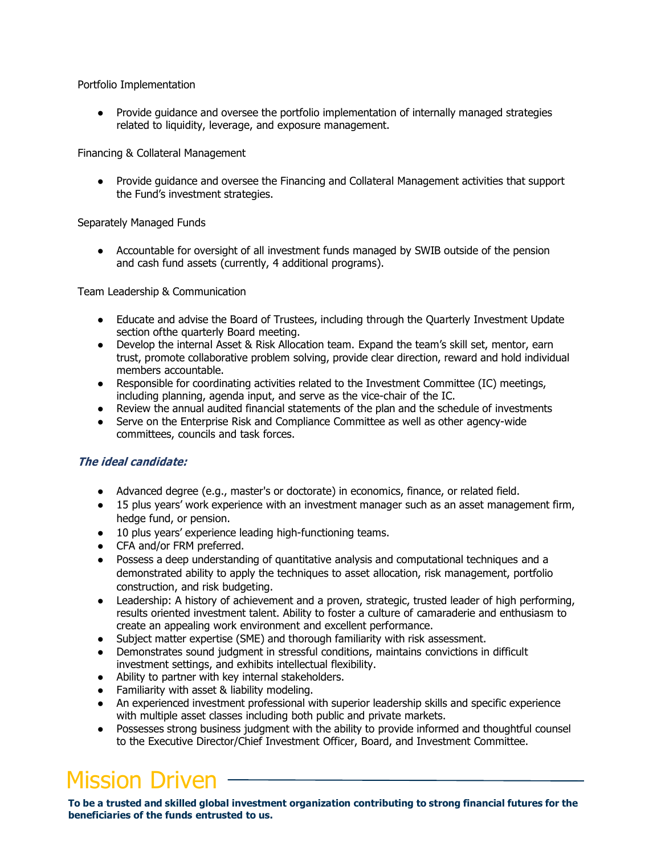### Portfolio Implementation

● Provide guidance and oversee the portfolio implementation of internally managed strategies related to liquidity, leverage, and exposure management.

### Financing & Collateral Management

● Provide guidance and oversee the Financing and Collateral Management activities that support the Fund's investment strategies.

### Separately Managed Funds

● Accountable for oversight of all investment funds managed by SWIB outside of the pension and cash fund assets (currently, 4 additional programs).

Team Leadership & Communication

- Educate and advise the Board of Trustees, including through the Quarterly Investment Update section ofthe quarterly Board meeting.
- Develop the internal Asset & Risk Allocation team. Expand the team's skill set, mentor, earn trust, promote collaborative problem solving, provide clear direction, reward and hold individual members accountable.
- Responsible for coordinating activities related to the Investment Committee (IC) meetings, including planning, agenda input, and serve as the vice-chair of the IC.
- Review the annual audited financial statements of the plan and the schedule of investments
- Serve on the Enterprise Risk and Compliance Committee as well as other agency-wide committees, councils and task forces.

### **The ideal candidate:**

- Advanced degree (e.g., master's or doctorate) in economics, finance, or related field.
- 15 plus years' work experience with an investment manager such as an asset management firm, hedge fund, or pension.
- 10 plus years' experience leading high-functioning teams.
- CFA and/or FRM preferred.
- Possess a deep understanding of quantitative analysis and computational techniques and a demonstrated ability to apply the techniques to asset allocation, risk management, portfolio construction, and risk budgeting.
- Leadership: A history of achievement and a proven, strategic, trusted leader of high performing, results oriented investment talent. Ability to foster a culture of camaraderie and enthusiasm to create an appealing work environment and excellent performance.
- Subject matter expertise (SME) and thorough familiarity with risk assessment.
- Demonstrates sound judgment in stressful conditions, maintains convictions in difficult investment settings, and exhibits intellectual flexibility.
- Ability to partner with key internal stakeholders.
- Familiarity with asset & liability modeling.
- An experienced investment professional with superior leadership skills and specific experience with multiple asset classes including both public and private markets.
- Possesses strong business judgment with the ability to provide informed and thoughtful counsel to the Executive Director/Chief Investment Officer, Board, and Investment Committee.

# **Mission Driven**

**To be a trusted and skilled global investment organization contributing to strong financial futures for the beneficiaries of the funds entrusted to us.**